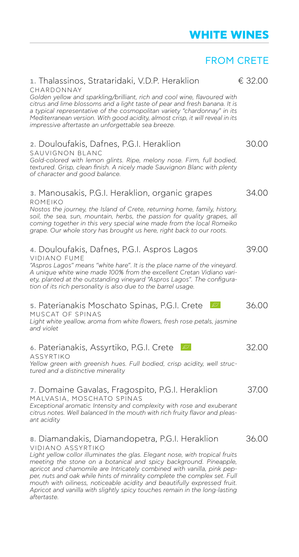# **WHITE WINES**

# FROM CRETE

| 1. Thalassinos, Strataridaki, V.D.P. Heraklion                                                                                                                                                                                                                                                                                                                                                                              | € 32.00 |
|-----------------------------------------------------------------------------------------------------------------------------------------------------------------------------------------------------------------------------------------------------------------------------------------------------------------------------------------------------------------------------------------------------------------------------|---------|
| CHARDONNAY<br>Golden yellow and sparkling/brilliant, rich and cool wine, flavoured with<br>citrus and lime blossoms and a light taste of pear and fresh banana. It is<br>a typical representative of the cosmopolitan variety "chardonnay" in its<br>Mediterranean version. With good acidity, almost crisp, it will reveal in its<br>impressive aftertaste an unforgettable sea breeze.                                    |         |
| 2. Douloufakis, Dafnes, P.G.I. Heraklion<br>SAUVIGNON BLANC<br>Gold-colored with lemon glints. Ripe, melony nose. Firm, full bodied,<br>textured. Grisp, clean finish. A nicely made Sauvignon Blanc with plenty<br>of character and good balance.                                                                                                                                                                          | 30.00   |
| <b>3.</b> Manousakis, P.G.I. Heraklion, organic grapes<br>ROMEIKO<br>Nostos the journey, the Island of Crete, returning home, family, history,<br>soil, the sea, sun, mountain, herbs, the passion for quality grapes, all<br>coming together in this very special wine made from the local Romeiko<br>grape. Our whole story has brought us here, right back to our roots.                                                 | 34.00   |
| 4. Douloufakis, Dafnes, P.G.I. Aspros Lagos<br><b>VIDIANO FUME</b><br>"Aspros Lagos" means "white hare". It is the place name of the vineyard.<br>A unique white wine made 100% from the excellent Cretan Vidiano vari-<br>ety, planted at the outstanding vineyard "Aspros Lagos". The configura-<br>tion of its rich personality is also due to the barrel usage.                                                         | 39.00   |
| <b>5. Paterianakis Moschato Spinas, P.G.I. Crete</b><br>BS.<br>MUSCAT OF SPINAS<br>Light white yeallow, aroma from white flowers, fresh rose petals, jasmine<br>and violet                                                                                                                                                                                                                                                  | 36.00   |
| B.<br>6. Paterianakis, Assyrtiko, P.G.I. Crete<br>ASSYRTIKO<br>Yellow green with greenish hues. Full bodied, crisp acidity, well struc-<br>tured and a distinctive minerality                                                                                                                                                                                                                                               | 32.00   |
| 7. Domaine Gavalas, Fragospito, P.G.I. Heraklion<br>MALVASIA, MOSCHATO SPINAS<br>Exceptional aromatic Intensity and complexity with rose and exuberant<br>citrus notes. Well balanced In the mouth with rich fruity flavor and pleas-<br>ant acidity                                                                                                                                                                        | 37.00   |
| 8. Diamandakis, Diamandopetra, P.G.I. Heraklion<br>VIDIANO ASSYRTIKO<br>Light yellow collor illuminates the glas. Elegant nose, with tropical fruits<br>meeting the stone on a botanical and spicy background. Pineapple,<br>apricot and chamomile are Intricately combined with vanilla, pink pep-<br>per, nuts and oak while hints of minrality complete the complex set. Full<br>coople soidity and beautifully overcose | 36.00   |

*per, nuts and oak while hints of minrality complete the complex set. Full mouth with oiliness, noticeable acidity and beautifully expressed fruit. Apricot and vanilla with slightly spicy touches remain in the long-lasting aftertaste.*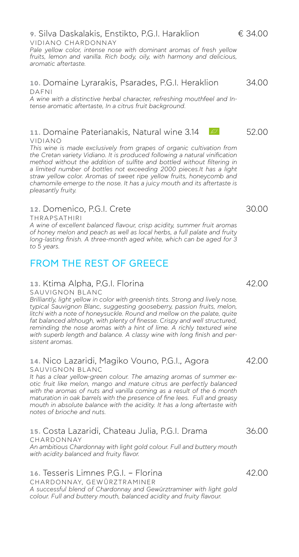#### **9.** Silva Daskalakis, Enstikto, P.G.I. Haraklion € 34.00 VIDIANO CHARDONNAY

*Pale yellow color, intense nose with dominant aromas of fresh yellow fruits, lemon and vanilla. Rich body, oily, with harmony and delicious, aromatic aftertaste.* 

#### **10.** Domaine Lyrarakis, Psarades, P.G.I. Heraklion 34.00 DAFNI

*A wine with a distinctive herbal character, refreshing mouthfeel and Intense aromatic aftertaste, In a citrus fruit background.*

#### **11.** Domaine Paterianakis, Natural wine 3.14 **12.200** 52.00 VIDIANO

*This wine is made exclusively from grapes of organic cultivation from the Cretan variety Vidiano. It is produced following a natural vinification method without the addition of sulfite and bottled without filtering in a limited number of bottles not exceeding 2000 pieces.It has a light straw yellow color. Aromas of sweet ripe yellow fruits, honeycomb and chamomile emerge to the nose. It has a juicy mouth and its aftertaste is pleasantly fruity.*

## **12.** Domenico, P.G.I. Crete 30.00

THRAPSATHIRI

*A wine of excellent balanced flavour, crisp acidity, summer fruit aromas of honey melon and peach as well as local herbs, a full palate and fruity long-lasting finish. A three-month aged white, which can be aged for 3 to 5 years.*

# FROM THE REST OF GREECE

### **13.** Ktima Alpha, P.G.I. Florina 42.00

SAUVIGNON BLANC

*Brilliantly, light yellow in color with greenish tints. Strong and lively nose, typical Sauvignon Blanc, suggesting gooseberry, passion fruits, melon, litchi with a note of honeysuckle. Round and mellow on the palate, quite*  fat balanced although, with plenty of finesse. Crispy and well structured, reminding the nose aromas with a hint of lime. A richly textured wine *with superb length and balance. A classy wine with long finish and persistent aromas.*

#### 14. Nico Lazaridi, Magiko Vouno, P.G.I., Agora 42.00 SAUVIGNON BLANC

*It has a clear yellow-green colour. The amazing aromas of summer exotic fruit like melon, mango and mature citrus are perfectly balanced with the aromas of nuts and vanilla coming as a result of the 6 month maturation in oak barrels with the presence of fine lees. Full and greasy mouth in absolute balance with the acidity. It has a long aftertaste with notes of brioche and nuts.*

# **15.** Costa Lazaridi, Chateau Julia, P.G.I. Drama 36.00 CHARDONNAY

*An ambitious Chardonnay with light gold colour. Full and buttery mouth with acidity balanced and fruity flavor.*

# **16.** Tesseris Limnes P.G.I. – Florina 42.00

CHARDONNAY, GEWÜRZTRAMINER *A successful blend of Chardonnay and Gewürztraminer with light gold colour. Full and buttery mouth, balanced acidity and fruity flavour.*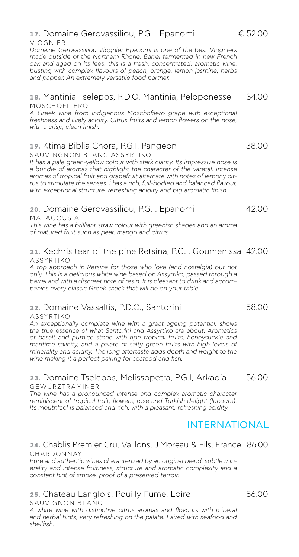### **18.** Mantinia Tselepos, P.D.O. Mantinia, Peloponesse 34.00 MOSCHOFILERO

*A Greek wine from indigenous Moschofilero grape with exceptional freshness and lively acidity. Citrus fruits and lemon flowers on the nose, with a crisp, clean finish.*

# **19.** Ktima Biblia Chora, P.G.I. Pangeon 38.00

SAUVINGNON BLANC ASSYRTIKO

*It has a pale green-yellow colour with stark clarity. Its impressive nose is a bundle of aromas that highlight the character of the varetal. Intense aromas of tropical fruit and grapefruit alternate with notes of lemony citrus to stimulate the senses. I has a rich, full-bodied and balanced flavour, with exceptional structure, refreshing acidity and big aromatic finish.* 

#### **20.** Domaine Gerovassiliou, P.G.I. Epanomi 42.00 MALAGOUSIA

*This wine has a brilliant straw colour with greenish shades and an aroma of matured fruit such as pear, mango and citrus.*

### **21.** Kechris tear of the pine Retsina, P.G.I. Goumenissa 42.00 ASSYRTIKO

*A top approach in Retsina for those who love (and nostalgia) but not only. This is a delicious white wine based on Assyrtiko, passed through a barrel and with a discreet note of resin. It is pleasant to drink and accompanies every classic Greek snack that will be on your table.*

# **22.** Domaine Vassaltis, P.D.O., Santorini 58.00

### ASSYRTIKO

*An exceptionally complete wine with a great ageing potential, shows the true essence of what Santorini and Assyrtiko are about: Aromatics of basalt and pumice stone with ripe tropical fruits, honeysuckle and*  maritime salinity, and a palate of salty green fruits with high levels of *minerality and acidity. The long aftertaste adds depth and weight to the wine making it a perfect pairing for seafood and fish.*

### **23.** Domaine Tselepos, Melissopetra, P.G.I, Arkadia 56.00 GEWÜRZTRAMINER

*The wine has a pronounced intense and complex aromatic character reminiscent of tropical fruit, flowers, rose and Turkish delight (lucoum). Its mouthfeel is balanced and rich, with a pleasant, refreshing acidity.*

# INTERNATIONAL

#### **24.** Chablis Premier Cru, Vaillons, J.Moreau & Fils, France 86.00 CHARDONNAY

*Pure and authentic wines characterized by an original blend: subtle minerality and intense fruitiness, structure and aromatic complexity and a constant hint of smoke, proof of a preserved terroir.*

#### **25.** Chateau Langlois, Pouilly Fume, Loire 66.00 SAUVIGNON BLANC

*A white wine with distinctive citrus aromas and flovours with mineral and herbal hints, very refreshing on the palate. Paired with seafood and shellfish.* 

VIOGNIER

*Domaine Gerovassiliou Viognier Epanomi is one of the best Viogniers made outside of the Northern Rhone. Barrel fermented in new French oak and aged on its lees, this is a fresh, concentrated, aromatic wine, busting with complex flavours of peach, orange, lemon jasmine, herbs and papper. An extremely versatile food partner.* 

# **17.** Domaine Gerovassiliou, P.G.I. Epanomi € 52.00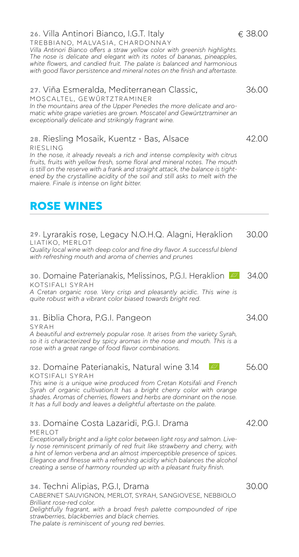### **26.** Villa Antinori Bianco, I.G.T. Italy  $\epsilon$  38.00

TREBBIANO, MALVASIA, CHARDONNΑY *Villa Antinori Bianco offers a straw yellow color with greenish highlights. The nose is delicate and elegant with its notes of bananas, pineapples, white flowers, and candied fruit. The palate is balanced and harmonious with good flavor persistence and mineral notes on the finish and aftertaste.*

### **27.** Viña Esmeralda, Mediterranean Classic, 36.00 MOSCALTEL, GEWÜRTZTRAMINER

*In the mountains area of the Upper Penedes the more delicate and aromatic white grape varieties are grown. Moscatel and Gewürtztraminer an exceptionally delicate and strikingly fragrant wine.*

### **28.** Riesling Mosaik, Kuentz - Bas, Alsace 42.00

RIESLING

*In the nose, it already reveals a rich and intense complexity with citrus fruits, fruits with yellow fresh, some floral and mineral notes. The mouth is still on the reserve with a frank and straight attack, the balance is tightened by the crystalline acidity of the soil and still asks to melt with the maiere. Finale is intense on light bitter.*

# **ROSE WINES**

**29.** Lyrarakis rose, Legacy N.O.H.Q. Alagni, Heraklion 30.00 LIATIKO, MERLOT *Quality local wine with deep color and fine dry flavor. A successful blend with refreshing mouth and aroma of cherries and prunes*

**30.** Domaine Paterianakis, Melissinos, P.G.I. Heraklion  $\approx$  34.00 KOTSIFALI SYRAH

*A Cretan organic rose. Very crisp and pleasantly acidic. This wine is quite robust with a vibrant color biased towards bright red.*

**31.** Biblia Chora, P.G.I. Pangeon 34.00

SYRAH

*A beautiful and extremely popular rose. It arises from the variety Syrah, so it is characterized by spicy aromas in the nose and mouth. This is a rose with a great range of food flavor combinations.*

#### **32.** Domaine Paterianakis, Natural wine 3.14 **122 13.14 56.00** KOTSIFALI SYRAH

*This wine is a unique wine produced from Cretan Kotsifali and French Syrah of organic cultivation.It has a bright cherry color with orange shades. Aromas of cherries, flowers and herbs are dominant on the nose. It has a full body and leaves a delightful aftertaste on the palate.*

#### **33. Domaine Costa Lazaridi, P.G.I. Drama** 42.00 MERLOT

*Exceptionally bright and a light color between light rosy and salmon. Lively nose reminiscent primarily of red fruit like strawberry and cherry, with a hint of lemon verbena and an almost imperceptible presence of spices. Elegance and finesse with a refreshing acidity which balances the alcohol creating a sense of harmony rounded up with a pleasant fruity finish.*

### **34.** Techni Alipias, P.G.I, Drama 30.00

CABERNET SAUVIGNON, MERLOT, SYRAH, SANGIOVESE, NEBBIOLO *Brilliant rose-red color.*

*Delightfully fragrant, with a broad fresh palette compounded of ripe strawberries, blackberries and black cherries. The palate is reminiscent of young red berries.*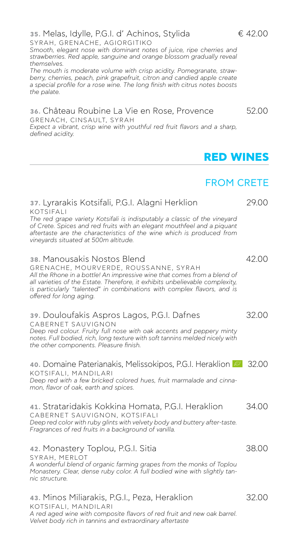SYRAH, GRENACHE, AGIORGITIKO

berry, cherries, peach, pink grapefruit, citron and candied apple create *a special profile for a rose wine. The long finish with citrus notes boosts the palate.*

*Smooth, elegant nose with dominant notes of juice, ripe cherries and strawberries. Red apple, sanguine and orange blossom gradually reveal* 

#### **36.** Château Roubine La Vie en Rose, Provence 52.00 GRENACH, CINSAULT, SYRAH

*Expect a vibrant, crisp wine with youthful red fruit flavors and a sharp, defined acidity.*

# FROM CRETE

**RED WINES**

#### **37.** Lyrarakis Kotsifali, P.G.I. Alagni Herklion 29.00 KOTSIFALI *The red grape variety Kotsifali is indisputably a classic of the vineyard of Crete. Spices and red fruits with an elegant mouthfeel and a piquant aftertaste are the characteristics of the wine which is produced from vineyards situated at 500m altitude.*

### **38.** Manousakis Nostos Blend **12.00**

GRENACHE, MOURVERDE, ROUSSANNE, SYRAH *All the Rhone in a bottle! An impressive wine that comes from a blend of all varieties of the Estate. Therefore, it exhibits unbelievable complexity, is particularly "talented" in combinations with complex flavors, and is offered for long aging.*

# **39.** Douloufakis Aspros Lagos, P.G.I. Dafnes 32.00

CABERNET SAUVIGNON *Deep red colour. Fruity full nose with oak accents and peppery minty notes. Full bodied, rich, long texture with soft tannins melded nicely with the other components. Pleasure finish.*

**40.** Domaine Paterianakis, Melissokipos, P.G.I. Heraklion **32.00** KOTSIFALI, MANDILARI *Deep red with a few bricked colored hues, fruit marmalade and cinnamon, flavor of oak, earth and spices.*

**41.** Strataridakis Kokkina Homata, P.G.I. Heraklion 34.00 CABERNET SAUVIGNON, KOTSIFALI *Deep red color with ruby glints with velvety body and buttery after-taste. Fragrances of red fruits in a background of vanilla.*

#### **42.** Monastery Toplou, P.G.I. Sitia 38.00 SYRAH, MERLOT *A wonderful blend of organic farming grapes from the monks of Toplou Monastery. Clear, dense ruby color. A full bodied wine with slightly tannic structure.*

**43.** Minos Miliarakis, P.G.I., Peza, Heraklion 32.00 KOTSIFALI, MANDILARI *A red aged wine with composite flavors of red fruit and new oak barrel. Velvet body rich in tannins and extraordinary aftertaste*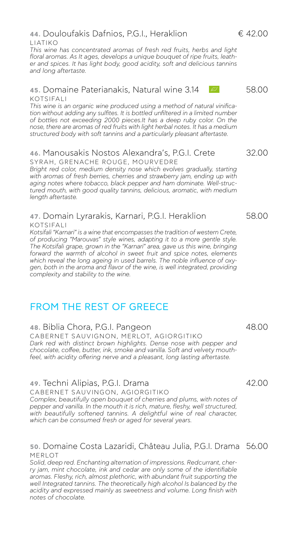#### **44.** Douloufakis Dafnios, P.G.I., Heraklion € 42.00 LIATIKO

*This wine has concentrated aromas of fresh red fruits, herbs and light floral aromas. As It ages, develops a unique bouquet of ripe fruits, leather and spices. It has light body, good acidity, soft and delicious tannins and long aftertaste.*

#### **45.** Domaine Paterianakis, Natural wine 3.14  $\frac{1}{20}$  58.00 KOTSIFALI

*This wine is an organic wine produced using a method of natural vinification without adding any sulfites. It is bottled unfiltered in a limited number of bottles not exceeding 2000 pieces.It has a deep ruby color. On the nose, there are aromas of red fruits with light herbal notes. It has a medium structured body with soft tannins and a particularly pleasant aftertaste.*

#### **46.** Manousakis Nostos Alexandra's, P.G.I. Crete 32.00 SYRAH, GRENACHE ROUGE, MOURVEDRE

Bright red color, medium density nose which evolves gradually, starting *with aromas of fresh berries, cherries and strawberry jam, ending up with aging notes where tobacco, black pepper and ham dominate. Well-structured mouth, with good quality tannins, delicious, aromatic, with medium length aftertaste.*

#### **47.** Domain Lyrarakis, Karnari, P.G.I. Heraklion 58.00 KOTSIFALI

*Kotsifali "Karnari" is a wine that encompasses the tradition of western Crete, of producing "Marouvas" style wines, adapting it to a more gentle style. The Kotsifali grape, grown in the "Karnari" area, gave us this wine, bringing forward the warmth of alcohol in sweet fruit and spice notes, elements which reveal the long ageing in used barrels. The noble influence of oxygen, both in the aroma and flavor of the wine, is well integrated, providing complexity and stability to the wine.*

# FROM THE REST OF GREECE

### **48.** Biblia Chora, P.G.I. Pangeon 48.00

CABERNET SAUVIGNON, MERLOT, AGIORGITIKO *Dark red with distinct brown highlights. Dense nose with pepper and chocolate, coffee, butter, ink, smoke and vanilla. Soft and velvety mouthfeel, with acidity offering nerve and a pleasant, long lasting aftertaste.*

### **49.** Techni Alipias, P.G.I. Drama 42.00

CABERNET SAUVINGON, AGIORGITIKO *Complex, beautifully open bouquet of cherries and plums, with notes of pepper and vanilla. In the mouth it is rich, mature, fleshy, well structured,*  with beautifully softened tannins. A delightful wine of real character, *which can be consumed fresh or aged for several years.*

### **50.** Domaine Costa Lazaridi, Château Julia, P.G.I. Drama 56.00 MERLOT

*Solid, deep red. Enchanting alternation of impressions. Redcurrant, cherry jam, mint chocolate, ink and cedar are only some of the identifiable aromas. Fleshy, rich, almost plethoric, with abundant fruit supporting the*  well Integrated tannins. The theoretically high alcohol Is balanced by the *acidity and expressed mainly as sweetness and volume. Long finish with notes of chocolate.*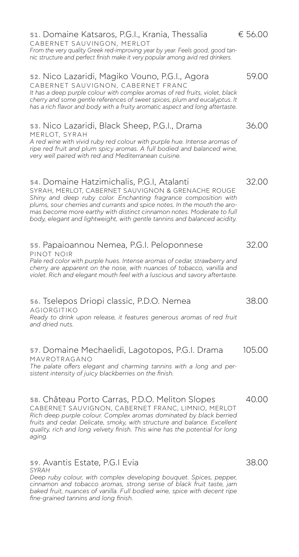### **51.** Domaine Katsaros, P.G.I., Krania, Thessalia € 56.00

CABERNET SAUVINGON, MERLOT *From the very quality Greek red-improving year by year. Feels good, good tannic structure and perfect finish make it very popular among avid red drinkers.*

### **52.** Nico Lazaridi, Magiko Vouno, P.G.I., Agora 69.00

CABERNET SAUVIGNON, CABERNET FRANC *It has a deep purple colour with complex aromas of red fruits, violet, black cherry and some gentle references of sweet spices, plum and eucalyptus. It has a rich flavor and body with a fruity aromatic aspect and long aftertaste.*

#### **53.** Nico Lazaridi, Black Sheep, P.G.I., Drama 36.00 MERLOT, SYRAH

*A red wine with vivid ruby red colour with purple hue. Intense aromas of*  ripe red fruit and plum spicy aromas. A full bodied and balanced wine. *very well paired with red and Mediterranean cuisine.*

#### **54.** Domaine Hatzimichalis, P.G.I, Atalanti 32.00

SYRAH, MERLOT, CABERNET SAUVIGNON & GRENACHE ROUGE *Shiny and deep ruby color. Enchanting fragrance composition with plums, sour cherries and currants and spice notes. In the mouth the aromas become more earthy with distinct cinnamon notes. Moderate to full body, elegant and lightweight, with gentle tannins and balanced acidity.*

#### **55.** Papaioannou Nemea, P.G.I. Peloponnese 32.00 PINOT NOIR

Pale red color with purple hues. Intense aromas of cedar, strawberry and *cherry are apparent on the nose, with nuances of tobacco, vanilla and violet. Rich and elegant mouth feel with a luscious and savory aftertaste.*

### **56.** Tselepos Driopi classic, P.D.O. Nemea 38.00

AGIORGITIKO *Ready to drink upon release, it features generous aromas of red fruit and dried nuts.*

#### **57.** Domaine Mechaelidi, Lagotopos, P.G.I. Drama 105.00 MAVROTRAGANO

*The palate offers elegant and charming tannins with a long and persistent intensity of juicy blackberries on the finish.*

### **58.** Château Porto Carras, P.D.O. Meliton Slopes 40.00

CABERNET SAUVIGNON, CABERNET FRANC, LIMNIO, MERLOT *Rich deep purple colour. Complex aromas dominated by black berried fruits and cedar. Delicate, smoky, with structure and balance. Excellent quality, rich and long velvety finish. This wine has the potential for long aging.*

#### **59.** Avantis Estate, P.G.I Evia 38.00 *SYRAH*

*Deep ruby colour, with complex developing bouquet. Spices, pepper, cinnamon and tobacco aromas, strong sense of black fruit taste, jam*  baked fruit, nuances of vanilla. Full bodied wine, spice with decent ripe *fine-grained tannins and long finish.*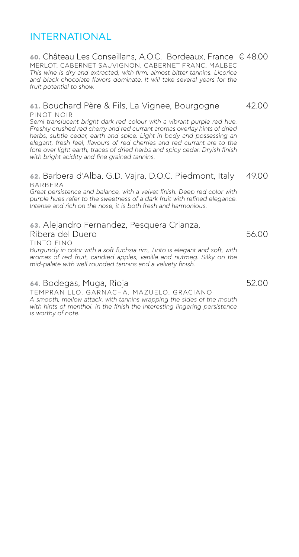# INTERNATIONAL

#### **60.** Château Les Conseillans, A.O.C. Bordeaux, France € 48.00 MERLOT, CABERNET SAUVIGNON, CABERNET FRANC, MALBEC *This wine is dry and extracted, with firm, almost bitter tannins. Licorice and black chocolate flavors dominate. It will take several years for the fruit potential to show.*

#### **61.** Bouchard Père & Fils, La Vignee, Bourgogne 42.00 PINOT NOIR

*Semi translucent bright dark red colour with a vibrant purple red hue. Freshly crushed red cherry and red currant aromas overlay hints of dried herbs, subtle cedar, earth and spice. Light in body and possessing an*  elegant, fresh feel, flavours of red cherries and red currant are to the fore over light earth, traces of dried herbs and spicy cedar. Dryish finish *with bright acidity and fine grained tannins.*

#### **62.** Barbera d'Alba, G.D. Vajra, D.O.C. Piedmont, Italy 49.00 BARBERA

*Great persistence and balance, with a velvet finish. Deep red color with purple hues refer to the sweetness of a dark fruit with refined elegance. Intense and rich on the nose, it is both fresh and harmonious.*

# **63.** Alejandro Fernandez, Pesquera Crianza, Ribera del Duero 56.00

TINTO FINO

*Burgundy in color with a soft fuchsia rim, Tinto is elegant and soft, with aromas of red fruit, candied apples, vanilla and nutmeg. Silky on the mid-palate with well rounded tannins and a velvety finish.*

### **64. Bodegas, Muga, Rioja 64. Compositor 62.00**

TEMPRANILLO, GARNACHA, MAZUELO, GRACIANO *A smooth, mellow attack, with tannins wrapping the sides of the mouth*  with hints of menthol. In the finish the interesting lingering persistence *is worthy of note.*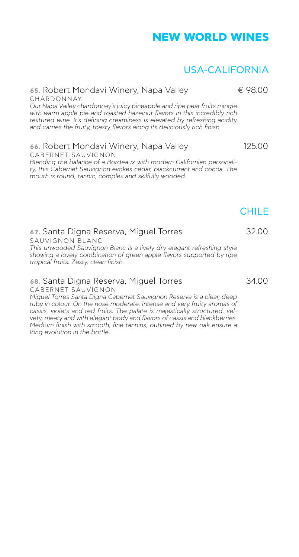# USA-CALIFORNIA

#### **65. Robert Mondavi Winery, Napa Valley € 98.00** CHARDONNAY

*Our Napa Valley chardonnay's juicy pineapple and ripe pear fruits mingle with warm apple pie and toasted hazelnut flavors in this incredibly rich textured wine. It's defining creaminess is elevated by refreshing acidity and carries the fruity, toasty flavors along its deliciously rich finish.*

# **66.** Robert Mondavi Winery, Napa Valley 125.00

CABERNET SAUVIGNON *Blending the balance of a Bordeaux with modern Californian personality, this Cabernet Sauvignon evokes cedar, blackcurrant and cocoa. The mouth is round, tannic, complex and skilfully wooded.*

# **67.** Santa Digna Reserva, Miguel Torres 32.00 SAUVIGNON BLANC

*This unwooded Sauvignon Blanc is a lively dry elegant refreshing style showing a lovely combination of green apple flavors supported by ripe tropical fruits. Zesty, clean finish.*

# **68.** Santa Digna Reserva, Miguel Torres 34.00

CABERNET SAUVIGNON

*Miguel Torres Santa Digna Cabernet Sauvignon Reserva is a clear, deep ruby in colour. On the nose moderate, intense and very fruity aromas of cassis, violets and red fruits. The palate is majestically structured, velvety, meaty and with elegant body and flavors of cassis and blackberries. Medium finish with smooth, fine tannins, outlined by new oak ensure a long evolution in the bottle.*

**CHILE**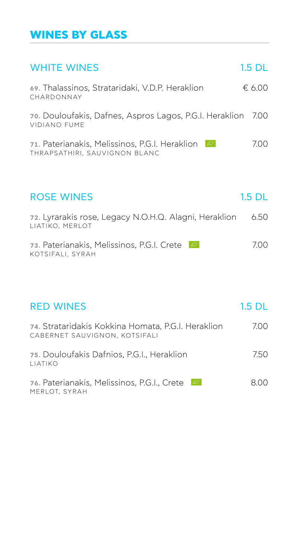# **WINES BY GLASS**

| <b>WHITE WINES</b>                                                                         | $1.5$ DL |
|--------------------------------------------------------------------------------------------|----------|
| 69. Thalassinos, Strataridaki, V.D.P. Heraklion<br>CHARDONNAY                              | € 6.00   |
| 70. Douloufakis, Dafnes, Aspros Lagos, P.G.I. Heraklion 7.00<br><b>VIDIANO FUME</b>        |          |
| 71. Paterianakis, Melissinos, P.G.I. Heraklion<br>$Z\!Z$<br>THRAPSATHIRI, SAUVIGNON BLANC  | 7.00     |
|                                                                                            |          |
| <b>ROSE WINES</b>                                                                          | 1.5 DL   |
| 72. Lyrarakis rose, Legacy N.O.H.Q. Alagni, Heraklion<br>LIATIKO, MERLOT                   | 6.50     |
| 73. Paterianakis, Melissinos, P.G.I. Crete<br>$\mathcal{L}\mathcal{I}$<br>KOTSIFALI, SYRAH | 7.00     |
|                                                                                            |          |
| <b>RED WINES</b>                                                                           | $1.5$ DL |
| 74. Strataridakis Kokkina Homata, P.G.I. Heraklion<br>CABERNET SAUVIGNON, KOTSIFALI        | 7.00     |
| 75. Douloufakis Dafnios, P.G.I., Heraklion<br>LIATIKO                                      | 7.50     |

**76. Paterianakis, Melissinos, P.G.I., Crete** 8.00 MERLOT, SYRAH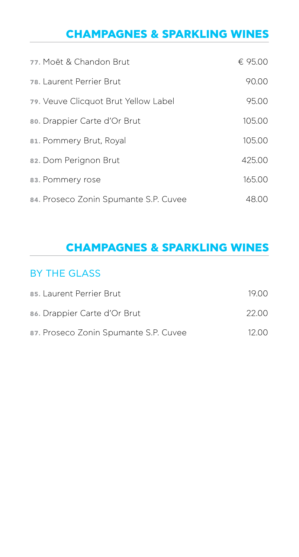# **CHAMPAGNES & SPARKLING WINES**

| 77. Moët & Chandon Brut               | € 95.00 |
|---------------------------------------|---------|
| 78. Laurent Perrier Brut              | 90.00   |
| 79. Veuve Clicquot Brut Yellow Label  | 95.00   |
| 80. Drappier Carte d'Or Brut          | 105.00  |
| 81. Pommery Brut, Royal               | 105.00  |
| 82. Dom Perignon Brut                 | 425.00  |
| 83. Pommery rose                      | 165.00  |
| 84. Proseco Zonin Spumante S.P. Cuvee | 48.00   |

# **CHAMPAGNES & SPARKLING WINES**

# BY THE GLASS

| 85. Laurent Perrier Brut              | 19 O.O |
|---------------------------------------|--------|
| 86. Drappier Carte d'Or Brut          | 22.OO  |
| 87. Proseco Zonin Spumante S.P. Cuvee | 12.QQ  |